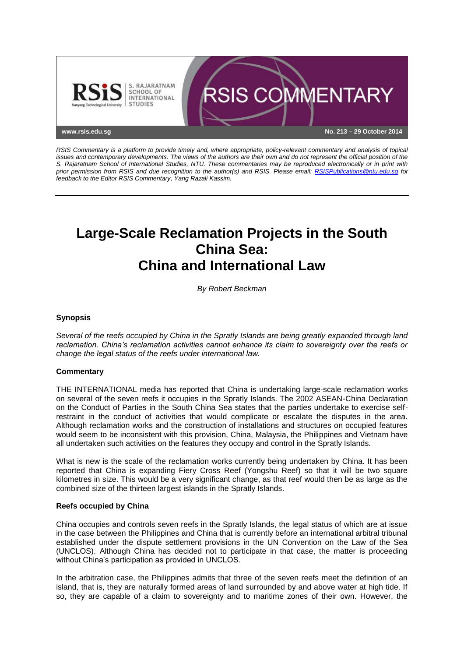

*RSIS Commentary is a platform to provide timely and, where appropriate, policy-relevant commentary and analysis of topical issues and contemporary developments. The views of the authors are their own and do not represent the official position of the S. Rajaratnam School of International Studies, NTU. These commentaries may be reproduced electronically or in print with prior permission from RSIS and due recognition to the author(s) and RSIS. Please email: [RSISPublications@ntu.edu.sg](mailto:RSISPublications@ntu.edu.sg) for feedback to the Editor RSIS Commentary, Yang Razali Kassim.*

# **Large-Scale Reclamation Projects in the South China Sea: China and International Law**

*By Robert Beckman*

## **Synopsis**

*Several of the reefs occupied by China in the Spratly Islands are being greatly expanded through land reclamation. China's reclamation activities cannot enhance its claim to sovereignty over the reefs or change the legal status of the reefs under international law.*

#### **Commentary**

THE INTERNATIONAL media has reported that China is undertaking large-scale reclamation works on several of the seven reefs it occupies in the Spratly Islands. The 2002 ASEAN-China Declaration on the Conduct of Parties in the South China Sea states that the parties undertake to exercise selfrestraint in the conduct of activities that would complicate or escalate the disputes in the area. Although reclamation works and the construction of installations and structures on occupied features would seem to be inconsistent with this provision, China, Malaysia, the Philippines and Vietnam have all undertaken such activities on the features they occupy and control in the Spratly Islands.

What is new is the scale of the reclamation works currently being undertaken by China. It has been reported that China is expanding Fiery Cross Reef (Yongshu Reef) so that it will be two square kilometres in size. This would be a very significant change, as that reef would then be as large as the combined size of the thirteen largest islands in the Spratly Islands.

#### **Reefs occupied by China**

China occupies and controls seven reefs in the Spratly Islands, the legal status of which are at issue in the case between the Philippines and China that is currently before an international arbitral tribunal established under the dispute settlement provisions in the UN Convention on the Law of the Sea (UNCLOS). Although China has decided not to participate in that case, the matter is proceeding without China's participation as provided in UNCLOS.

In the arbitration case, the Philippines admits that three of the seven reefs meet the definition of an island, that is, they are naturally formed areas of land surrounded by and above water at high tide. If so, they are capable of a claim to sovereignty and to maritime zones of their own. However, the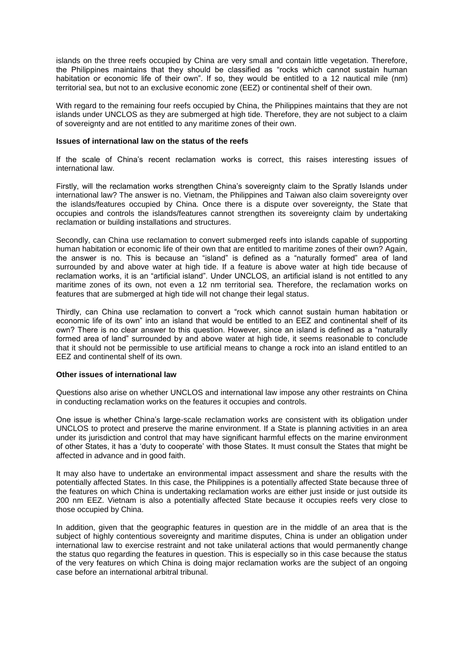islands on the three reefs occupied by China are very small and contain little vegetation. Therefore, the Philippines maintains that they should be classified as "rocks which cannot sustain human habitation or economic life of their own". If so, they would be entitled to a 12 nautical mile (nm) territorial sea, but not to an exclusive economic zone (EEZ) or continental shelf of their own.

With regard to the remaining four reefs occupied by China, the Philippines maintains that they are not islands under UNCLOS as they are submerged at high tide. Therefore, they are not subject to a claim of sovereignty and are not entitled to any maritime zones of their own.

## **Issues of international law on the status of the reefs**

If the scale of China's recent reclamation works is correct, this raises interesting issues of international law.

Firstly, will the reclamation works strengthen China's sovereignty claim to the Spratly Islands under international law? The answer is no. Vietnam, the Philippines and Taiwan also claim sovereignty over the islands/features occupied by China. Once there is a dispute over sovereignty, the State that occupies and controls the islands/features cannot strengthen its sovereignty claim by undertaking reclamation or building installations and structures.

Secondly, can China use reclamation to convert submerged reefs into islands capable of supporting human habitation or economic life of their own that are entitled to maritime zones of their own? Again, the answer is no. This is because an "island" is defined as a "naturally formed" area of land surrounded by and above water at high tide. If a feature is above water at high tide because of reclamation works, it is an "artificial island". Under UNCLOS, an artificial island is not entitled to any maritime zones of its own, not even a 12 nm territorial sea. Therefore, the reclamation works on features that are submerged at high tide will not change their legal status.

Thirdly, can China use reclamation to convert a "rock which cannot sustain human habitation or economic life of its own" into an island that would be entitled to an EEZ and continental shelf of its own? There is no clear answer to this question. However, since an island is defined as a "naturally formed area of land" surrounded by and above water at high tide, it seems reasonable to conclude that it should not be permissible to use artificial means to change a rock into an island entitled to an EEZ and continental shelf of its own.

#### **Other issues of international law**

Questions also arise on whether UNCLOS and international law impose any other restraints on China in conducting reclamation works on the features it occupies and controls.

One issue is whether China's large-scale reclamation works are consistent with its obligation under UNCLOS to protect and preserve the marine environment. If a State is planning activities in an area under its jurisdiction and control that may have significant harmful effects on the marine environment of other States, it has a 'duty to cooperate' with those States. It must consult the States that might be affected in advance and in good faith.

It may also have to undertake an environmental impact assessment and share the results with the potentially affected States. In this case, the Philippines is a potentially affected State because three of the features on which China is undertaking reclamation works are either just inside or just outside its 200 nm EEZ. Vietnam is also a potentially affected State because it occupies reefs very close to those occupied by China.

In addition, given that the geographic features in question are in the middle of an area that is the subject of highly contentious sovereignty and maritime disputes, China is under an obligation under international law to exercise restraint and not take unilateral actions that would permanently change the status quo regarding the features in question. This is especially so in this case because the status of the very features on which China is doing major reclamation works are the subject of an ongoing case before an international arbitral tribunal.